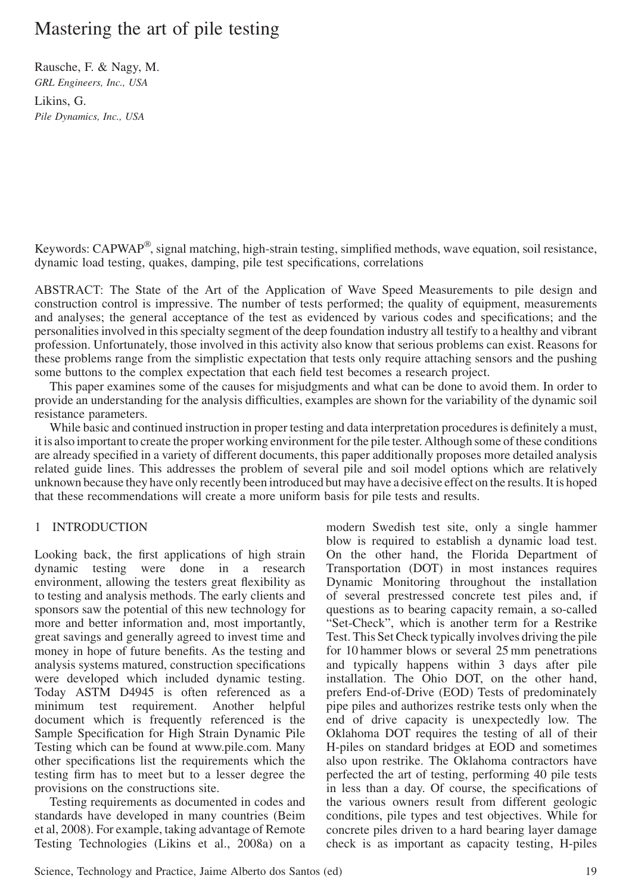# Mastering the art of pile testing

Rausche, F. & Nagy, M. GRL Engineers, Inc., USA Likins, G. Pile Dynamics, Inc., USA

Keywords: CAPWAP®, signal matching, high-strain testing, simplified methods, wave equation, soil resistance, dynamic load testing, quakes, damping, pile test specifications, correlations

ABSTRACT: The State of the Art of the Application of Wave Speed Measurements to pile design and construction control is impressive. The number of tests performed; the quality of equipment, measurements and analyses; the general acceptance of the test as evidenced by various codes and specifications; and the personalities involved in this specialty segment of the deep foundation industry all testify to a healthy and vibrant profession. Unfortunately, those involved in this activity also know that serious problems can exist. Reasons for these problems range from the simplistic expectation that tests only require attaching sensors and the pushing some buttons to the complex expectation that each field test becomes a research project.

This paper examines some of the causes for misjudgments and what can be done to avoid them. In order to provide an understanding for the analysis difficulties, examples are shown for the variability of the dynamic soil resistance parameters.

While basic and continued instruction in proper testing and data interpretation procedures is definitely a must, it is also important to create the proper working environment for the pile tester. Although some of these conditions are already specified in a variety of different documents, this paper additionally proposes more detailed analysis related guide lines. This addresses the problem of several pile and soil model options which are relatively unknown because they have only recently been introduced but may have a decisive effect on the results. It is hoped that these recommendations will create a more uniform basis for pile tests and results.

## 1 INTRODUCTION

Looking back, the first applications of high strain dynamic testing were done in a research environment, allowing the testers great flexibility as to testing and analysis methods. The early clients and sponsors saw the potential of this new technology for more and better information and, most importantly, great savings and generally agreed to invest time and money in hope of future benefits. As the testing and analysis systems matured, construction specifications were developed which included dynamic testing. Today ASTM D4945 is often referenced as a minimum test requirement. Another helpful document which is frequently referenced is the Sample Specification for High Strain Dynamic Pile Testing which can be found at www.pile.com. Many other specifications list the requirements which the testing firm has to meet but to a lesser degree the provisions on the constructions site.

Testing requirements as documented in codes and standards have developed in many countries (Beim et al, 2008). For example, taking advantage of Remote Testing Technologies (Likins et al., 2008a) on a

modern Swedish test site, only a single hammer blow is required to establish a dynamic load test. On the other hand, the Florida Department of Transportation (DOT) in most instances requires Dynamic Monitoring throughout the installation of several prestressed concrete test piles and, if questions as to bearing capacity remain, a so-called "Set-Check", which is another term for a Restrike Test. This Set Check typically involves driving the pile for 10 hammer blows or several 25 mm penetrations and typically happens within 3 days after pile installation. The Ohio DOT, on the other hand, prefers End-of-Drive (EOD) Tests of predominately pipe piles and authorizes restrike tests only when the end of drive capacity is unexpectedly low. The Oklahoma DOT requires the testing of all of their H-piles on standard bridges at EOD and sometimes also upon restrike. The Oklahoma contractors have perfected the art of testing, performing 40 pile tests in less than a day. Of course, the specifications of the various owners result from different geologic conditions, pile types and test objectives. While for concrete piles driven to a hard bearing layer damage check is as important as capacity testing, H-piles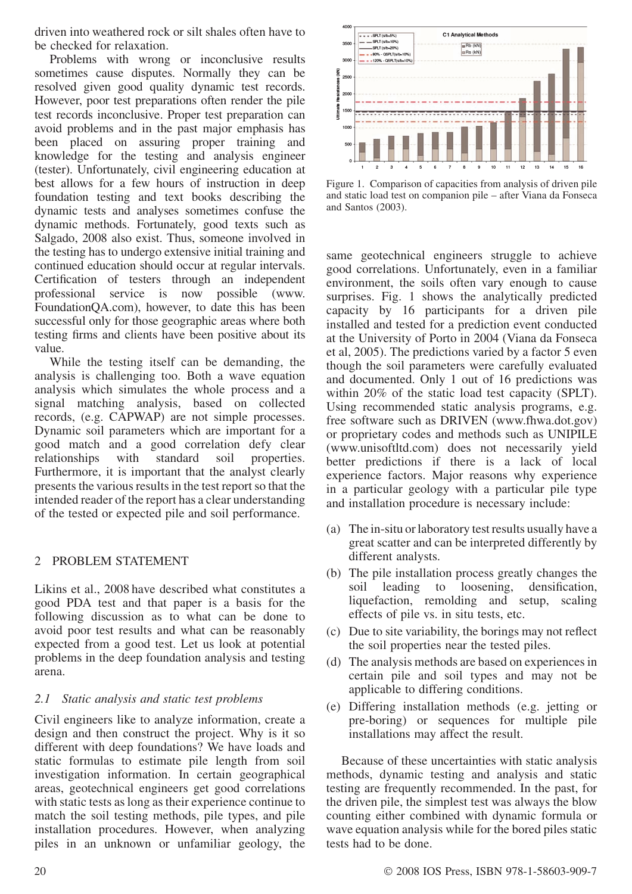driven into weathered rock or silt shales often have to be checked for relaxation.

Problems with wrong or inconclusive results sometimes cause disputes. Normally they can be resolved given good quality dynamic test records. However, poor test preparations often render the pile test records inconclusive. Proper test preparation can avoid problems and in the past major emphasis has been placed on assuring proper training and knowledge for the testing and analysis engineer (tester). Unfortunately, civil engineering education at best allows for a few hours of instruction in deep foundation testing and text books describing the dynamic tests and analyses sometimes confuse the dynamic methods. Fortunately, good texts such as Salgado, 2008 also exist. Thus, someone involved in the testing has to undergo extensive initial training and continued education should occur at regular intervals. Certification of testers through an independent professional service is now possible (www. FoundationQA.com), however, to date this has been successful only for those geographic areas where both testing firms and clients have been positive about its value.

While the testing itself can be demanding, the analysis is challenging too. Both a wave equation analysis which simulates the whole process and a signal matching analysis, based on collected records, (e.g. CAPWAP) are not simple processes. Dynamic soil parameters which are important for a good match and a good correlation defy clear relationships with standard soil properties. Furthermore, it is important that the analyst clearly presents the various results in the test report so that the intended reader of the report has a clear understanding of the tested or expected pile and soil performance.

## 2 PROBLEM STATEMENT

Likins et al., 2008 have described what constitutes a good PDA test and that paper is a basis for the following discussion as to what can be done to avoid poor test results and what can be reasonably expected from a good test. Let us look at potential problems in the deep foundation analysis and testing arena.

## 2.1 Static analysis and static test problems

Civil engineers like to analyze information, create a design and then construct the project. Why is it so different with deep foundations? We have loads and static formulas to estimate pile length from soil investigation information. In certain geographical areas, geotechnical engineers get good correlations with static tests as long as their experience continue to match the soil testing methods, pile types, and pile installation procedures. However, when analyzing piles in an unknown or unfamiliar geology, the



Figure 1. Comparison of capacities from analysis of driven pile and static load test on companion pile – after Viana da Fonseca and Santos (2003).

same geotechnical engineers struggle to achieve good correlations. Unfortunately, even in a familiar environment, the soils often vary enough to cause surprises. Fig. 1 shows the analytically predicted capacity by 16 participants for a driven pile installed and tested for a prediction event conducted at the University of Porto in 2004 (Viana da Fonseca et al, 2005). The predictions varied by a factor 5 even though the soil parameters were carefully evaluated and documented. Only 1 out of 16 predictions was within 20% of the static load test capacity (SPLT). Using recommended static analysis programs, e.g. free software such as DRIVEN (www.fhwa.dot.gov) or proprietary codes and methods such as UNIPILE (www.unisoftltd.com) does not necessarily yield better predictions if there is a lack of local experience factors. Major reasons why experience in a particular geology with a particular pile type and installation procedure is necessary include:

- (a) The in-situ or laboratory test results usually have a great scatter and can be interpreted differently by different analysts.
- (b) The pile installation process greatly changes the soil leading to loosening, densification, liquefaction, remolding and setup, scaling effects of pile vs. in situ tests, etc.
- (c) Due to site variability, the borings may not reflect the soil properties near the tested piles.
- (d) The analysis methods are based on experiences in certain pile and soil types and may not be applicable to differing conditions.
- (e) Differing installation methods (e.g. jetting or pre-boring) or sequences for multiple pile installations may affect the result.

Because of these uncertainties with static analysis methods, dynamic testing and analysis and static testing are frequently recommended. In the past, for the driven pile, the simplest test was always the blow counting either combined with dynamic formula or wave equation analysis while for the bored piles static tests had to be done.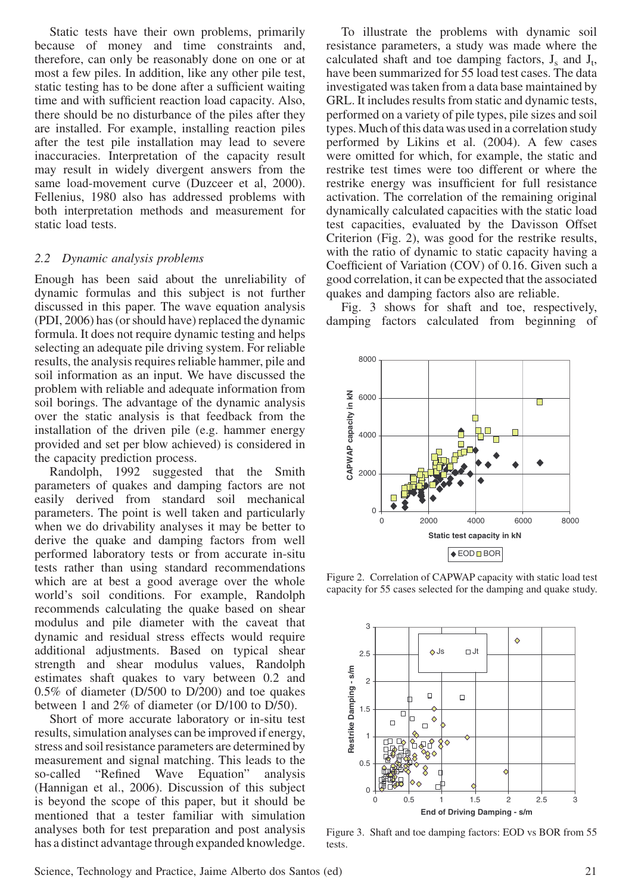Static tests have their own problems, primarily because of money and time constraints and, therefore, can only be reasonably done on one or at most a few piles. In addition, like any other pile test, static testing has to be done after a sufficient waiting time and with sufficient reaction load capacity. Also, there should be no disturbance of the piles after they are installed. For example, installing reaction piles after the test pile installation may lead to severe inaccuracies. Interpretation of the capacity result may result in widely divergent answers from the same load-movement curve (Duzceer et al, 2000). Fellenius, 1980 also has addressed problems with both interpretation methods and measurement for static load tests.

#### 2.2 Dynamic analysis problems

Enough has been said about the unreliability of dynamic formulas and this subject is not further discussed in this paper. The wave equation analysis (PDI, 2006) has (or should have) replaced the dynamic formula. It does not require dynamic testing and helps selecting an adequate pile driving system. For reliable results, the analysis requires reliable hammer, pile and soil information as an input. We have discussed the problem with reliable and adequate information from soil borings. The advantage of the dynamic analysis over the static analysis is that feedback from the installation of the driven pile (e.g. hammer energy provided and set per blow achieved) is considered in the capacity prediction process.

Randolph, 1992 suggested that the Smith parameters of quakes and damping factors are not easily derived from standard soil mechanical parameters. The point is well taken and particularly when we do drivability analyses it may be better to derive the quake and damping factors from well performed laboratory tests or from accurate in-situ tests rather than using standard recommendations which are at best a good average over the whole world's soil conditions. For example, Randolph recommends calculating the quake based on shear modulus and pile diameter with the caveat that dynamic and residual stress effects would require additional adjustments. Based on typical shear strength and shear modulus values, Randolph estimates shaft quakes to vary between 0.2 and 0.5% of diameter (D/500 to D/200) and toe quakes between 1 and 2% of diameter (or D/100 to D/50).

Short of more accurate laboratory or in-situ test results, simulation analyses can be improved if energy, stress and soil resistance parameters are determined by measurement and signal matching. This leads to the so-called "Refined Wave Equation" analysis (Hannigan et al., 2006). Discussion of this subject is beyond the scope of this paper, but it should be mentioned that a tester familiar with simulation analyses both for test preparation and post analysis has a distinct advantage through expanded knowledge.

To illustrate the problems with dynamic soil resistance parameters, a study was made where the calculated shaft and toe damping factors,  $J_s$  and  $J_t$ , have been summarized for 55 load test cases. The data investigated was taken from a data base maintained by GRL. It includes results from static and dynamic tests, performed on a variety of pile types, pile sizes and soil types. Much of this data was used in a correlation study performed by Likins et al. (2004). A few cases were omitted for which, for example, the static and restrike test times were too different or where the restrike energy was insufficient for full resistance activation. The correlation of the remaining original dynamically calculated capacities with the static load test capacities, evaluated by the Davisson Offset Criterion (Fig. 2), was good for the restrike results, with the ratio of dynamic to static capacity having a Coefficient of Variation (COV) of 0.16. Given such a good correlation, it can be expected that the associated quakes and damping factors also are reliable.

Fig. 3 shows for shaft and toe, respectively, damping factors calculated from beginning of



Figure 2. Correlation of CAPWAP capacity with static load test capacity for 55 cases selected for the damping and quake study.



Figure 3. Shaft and toe damping factors: EOD vs BOR from 55 tests.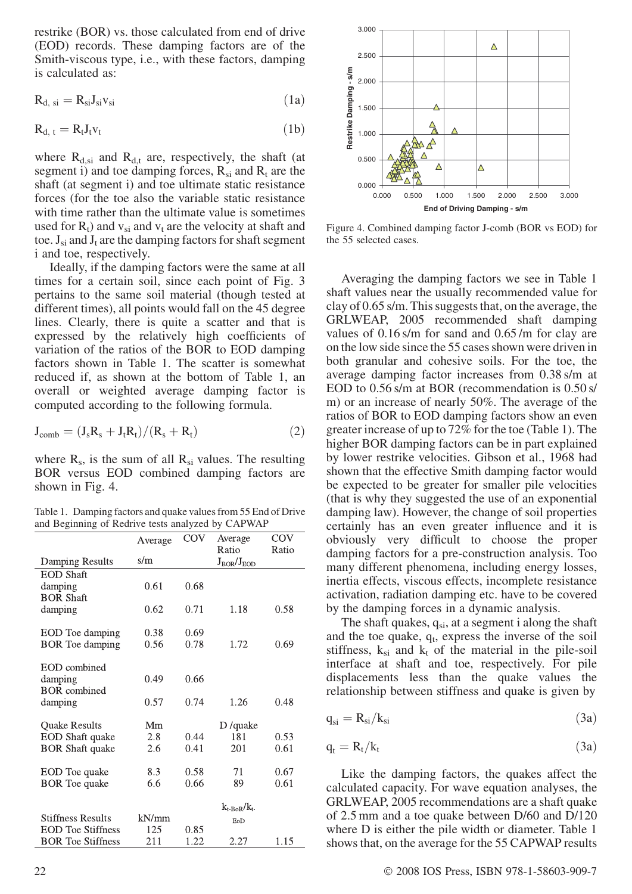restrike (BOR) vs. those calculated from end of drive (EOD) records. These damping factors are of the Smith-viscous type, i.e., with these factors, damping is calculated as:

$$
R_{d, si} = R_{si} J_{si} v_{si}
$$
 (1a)

$$
R_{d, t} = R_t J_t v_t \tag{1b}
$$

where  $R_{d,si}$  and  $R_{d,t}$  are, respectively, the shaft (at segment i) and toe damping forces,  $R_{si}$  and  $R_t$  are the shaft (at segment i) and toe ultimate static resistance forces (for the toe also the variable static resistance with time rather than the ultimate value is sometimes used for  $R_t$ ) and  $v_{si}$  and  $v_t$  are the velocity at shaft and toe.  $J_{si}$  and  $J_t$  are the damping factors for shaft segment i and toe, respectively.

Ideally, if the damping factors were the same at all times for a certain soil, since each point of Fig. 3 pertains to the same soil material (though tested at different times), all points would fall on the 45 degree lines. Clearly, there is quite a scatter and that is expressed by the relatively high coefficients of variation of the ratios of the BOR to EOD damping factors shown in Table 1. The scatter is somewhat reduced if, as shown at the bottom of Table 1, an overall or weighted average damping factor is computed according to the following formula.

$$
J_{comb} = (J_s R_s + J_t R_t)/(R_s + R_t)
$$
 (2)

where  $R_s$ , is the sum of all  $R_{si}$  values. The resulting BOR versus EOD combined damping factors are shown in Fig. 4.

Table 1. Damping factors and quake values from 55 End of Drive and Beginning of Redrive tests analyzed by CAPWAP

|                          | Average | COV  | Average                    | COV   |
|--------------------------|---------|------|----------------------------|-------|
| Damping Results          | s/m     |      | Ratio<br>$J_{BOR}/J_{EOD}$ | Ratio |
| <b>EOD</b> Shaft         |         |      |                            |       |
| damping                  | 0.61    | 0.68 |                            |       |
| <b>BOR Shaft</b>         |         |      |                            |       |
| damping                  | 0.62    | 0.71 | 1.18                       | 0.58  |
|                          |         |      |                            |       |
| EOD Toe damping          | 0.38    | 0.69 |                            |       |
| <b>BOR</b> Toe damping   | 0.56    | 0.78 | 1.72                       | 0.69  |
|                          |         |      |                            |       |
| <b>EOD</b> combined      |         |      |                            |       |
| damping                  | 0.49    | 0.66 |                            |       |
| <b>BOR</b> combined      |         |      |                            |       |
| damping                  | 0.57    | 0.74 | 1.26                       | 0.48  |
|                          |         |      |                            |       |
| <b>Quake Results</b>     | Mm      |      | D /quake                   |       |
| EOD Shaft quake          | 2.8     | 0.44 | 181                        | 0.53  |
| <b>BOR Shaft quake</b>   | 2.6     | 0.41 | 201                        | 0.61  |
|                          |         |      |                            |       |
| EOD Toe quake            | 8.3     | 0.58 | 71                         | 0.67  |
| <b>BOR</b> Toe quake     | 6.6     | 0.66 | 89                         | 0.61  |
|                          |         |      |                            |       |
|                          |         |      | $k_{t-BOR}/k_{t-}$         |       |
| <b>Stiffness Results</b> | kN/mm   |      | EoD                        |       |
| <b>EOD</b> Toe Stiffness | 125     | 0.85 |                            |       |
| <b>BOR</b> Toe Stiffness | 211     | 1.22 | 2.27                       | 1.15  |



Figure 4. Combined damping factor J-comb (BOR vs EOD) for the 55 selected cases.

Averaging the damping factors we see in Table 1 shaft values near the usually recommended value for clay of 0.65 s/m. This suggests that, on the average, the GRLWEAP, 2005 recommended shaft damping values of 0.16 s/m for sand and 0.65 /m for clay are on the low side since the 55 cases shown were driven in both granular and cohesive soils. For the toe, the average damping factor increases from 0.38 s/m at EOD to 0.56 s/m at BOR (recommendation is 0.50 s/ m) or an increase of nearly 50%. The average of the ratios of BOR to EOD damping factors show an even greater increase of up to 72% for the toe (Table 1). The higher BOR damping factors can be in part explained by lower restrike velocities. Gibson et al., 1968 had shown that the effective Smith damping factor would be expected to be greater for smaller pile velocities (that is why they suggested the use of an exponential damping law). However, the change of soil properties certainly has an even greater influence and it is obviously very difficult to choose the proper damping factors for a pre-construction analysis. Too many different phenomena, including energy losses, inertia effects, viscous effects, incomplete resistance activation, radiation damping etc. have to be covered by the damping forces in a dynamic analysis.

The shaft quakes,  $q_{si}$ , at a segment i along the shaft and the toe quake,  $q_t$ , express the inverse of the soil stiffness,  $k_{si}$  and  $k_t$  of the material in the pile-soil interface at shaft and toe, respectively. For pile displacements less than the quake values the relationship between stiffness and quake is given by

$$
q_{si} = R_{si}/k_{si}
$$
 (3a)

$$
q_t = R_t/k_t \tag{3a}
$$

Like the damping factors, the quakes affect the calculated capacity. For wave equation analyses, the GRLWEAP, 2005 recommendations are a shaft quake of 2.5 mm and a toe quake between D/60 and D/120 where D is either the pile width or diameter. Table 1 shows that, on the average for the 55 CAPWAP results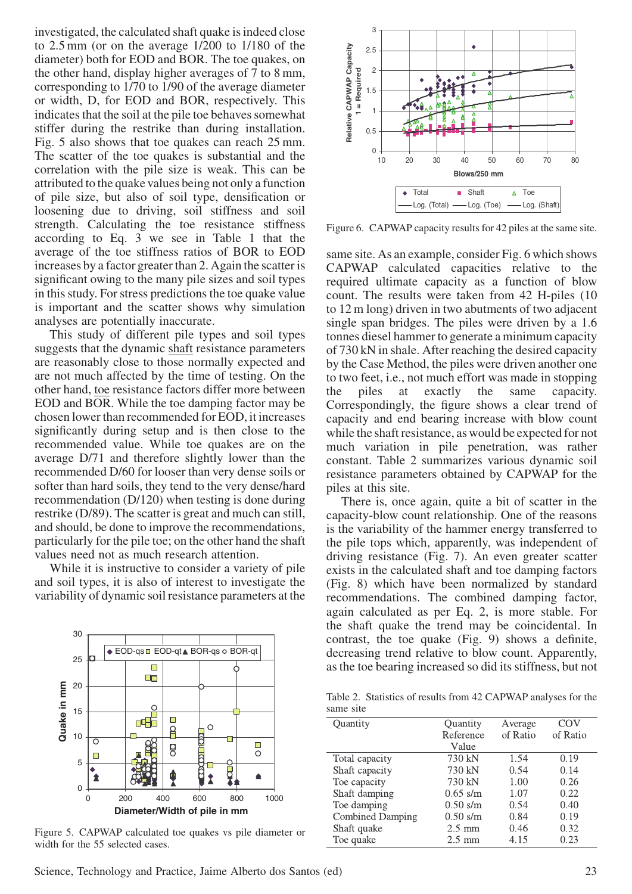investigated, the calculated shaft quake is indeed close to 2.5 mm (or on the average 1/200 to 1/180 of the diameter) both for EOD and BOR. The toe quakes, on the other hand, display higher averages of 7 to 8 mm, corresponding to 1/70 to 1/90 of the average diameter or width, D, for EOD and BOR, respectively. This indicates that the soil at the pile toe behaves somewhat stiffer during the restrike than during installation. Fig. 5 also shows that toe quakes can reach 25 mm. The scatter of the toe quakes is substantial and the correlation with the pile size is weak. This can be attributed to the quake values being not only a function of pile size, but also of soil type, densification or loosening due to driving, soil stiffness and soil strength. Calculating the toe resistance stiffness according to Eq. 3 we see in Table 1 that the average of the toe stiffness ratios of BOR to EOD increases by a factor greater than 2. Again the scatter is significant owing to the many pile sizes and soil types in this study. For stress predictions the toe quake value is important and the scatter shows why simulation analyses are potentially inaccurate.

This study of different pile types and soil types suggests that the dynamic shaft resistance parameters are reasonably close to those normally expected and are not much affected by the time of testing. On the other hand, toe resistance factors differ more between EOD and BOR. While the toe damping factor may be chosen lower than recommended for EOD, it increases significantly during setup and is then close to the recommended value. While toe quakes are on the average D/71 and therefore slightly lower than the recommended D/60 for looser than very dense soils or softer than hard soils, they tend to the very dense/hard recommendation (D/120) when testing is done during restrike (D/89). The scatter is great and much can still, and should, be done to improve the recommendations, particularly for the pile toe; on the other hand the shaft values need not as much research attention.

While it is instructive to consider a variety of pile and soil types, it is also of interest to investigate the variability of dynamic soil resistance parameters at the



Figure 5. CAPWAP calculated toe quakes vs pile diameter or width for the 55 selected cases.

count. The results were taken from 42 H-piles (10 to 12 m long) driven in two abutments of two adjacent single span bridges. The piles were driven by a 1.6 tonnes diesel hammer to generate a minimum capacity of 730 kN in shale. After reaching the desired capacity by the Case Method, the piles were driven another one to two feet, i.e., not much effort was made in stopping the piles at exactly the same capacity.

Correspondingly, the figure shows a clear trend of capacity and end bearing increase with blow count while the shaft resistance, as would be expected for not much variation in pile penetration, was rather constant. Table 2 summarizes various dynamic soil resistance parameters obtained by CAPWAP for the piles at this site.

There is, once again, quite a bit of scatter in the capacity-blow count relationship. One of the reasons is the variability of the hammer energy transferred to the pile tops which, apparently, was independent of driving resistance (Fig. 7). An even greater scatter exists in the calculated shaft and toe damping factors (Fig. 8) which have been normalized by standard recommendations. The combined damping factor, again calculated as per Eq. 2, is more stable. For the shaft quake the trend may be coincidental. In contrast, the toe quake (Fig. 9) shows a definite, decreasing trend relative to blow count. Apparently, as the toe bearing increased so did its stiffness, but not

Table 2. Statistics of results from 42 CAPWAP analyses for the same site

| Quantity                | Quantity         | Average  | COV      |
|-------------------------|------------------|----------|----------|
|                         | Reference        | of Ratio | of Ratio |
|                         | Value            |          |          |
| Total capacity          | 730 kN           | 1.54     | 0.19     |
| Shaft capacity          | 730 kN           | 0.54     | 0.14     |
| Toe capacity            | 730 kN           | 1.00     | 0.26     |
| Shaft damping           | $0.65$ s/m       | 1.07     | 0.22     |
| Toe damping             | $0.50$ s/m       | 0.54     | 0.40     |
| <b>Combined Damping</b> | $0.50$ s/m       | 0.84     | 0.19     |
| Shaft quake             | $2.5 \text{ mm}$ | 0.46     | 0.32     |
| Toe quake               | $2.5 \text{ mm}$ | 4.15     | 0.23     |
|                         |                  |          |          |



Figure 6. CAPWAP capacity results for 42 piles at the same site.

same site. As an example, consider Fig. 6 which shows CAPWAP calculated capacities relative to the required ultimate capacity as a function of blow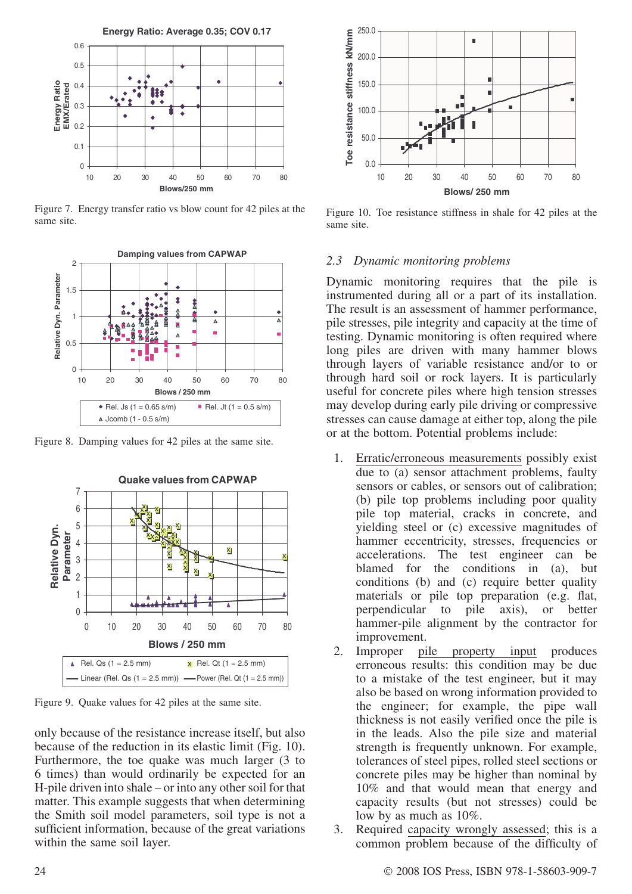

Figure 7. Energy transfer ratio vs blow count for 42 piles at the same site.



Figure 8. Damping values for 42 piles at the same site.



Figure 9. Quake values for 42 piles at the same site.

only because of the resistance increase itself, but also because of the reduction in its elastic limit (Fig. 10). Furthermore, the toe quake was much larger (3 to 6 times) than would ordinarily be expected for an H-pile driven into shale – or into any other soil for that matter. This example suggests that when determining the Smith soil model parameters, soil type is not a sufficient information, because of the great variations within the same soil layer.



Figure 10. Toe resistance stiffness in shale for 42 piles at the same site.

# 2.3 Dynamic monitoring problems

Dynamic monitoring requires that the pile is instrumented during all or a part of its installation. The result is an assessment of hammer performance, pile stresses, pile integrity and capacity at the time of testing. Dynamic monitoring is often required where long piles are driven with many hammer blows through layers of variable resistance and/or to or through hard soil or rock layers. It is particularly useful for concrete piles where high tension stresses may develop during early pile driving or compressive stresses can cause damage at either top, along the pile or at the bottom. Potential problems include:

- 1. Erratic/erroneous measurements possibly exist due to (a) sensor attachment problems, faulty sensors or cables, or sensors out of calibration; (b) pile top problems including poor quality pile top material, cracks in concrete, and yielding steel or (c) excessive magnitudes of hammer eccentricity, stresses, frequencies or accelerations. The test engineer can be blamed for the conditions in (a), but conditions (b) and (c) require better quality materials or pile top preparation (e.g. flat, perpendicular to pile axis), or better hammer-pile alignment by the contractor for improvement.
- 2. Improper pile property input produces erroneous results: this condition may be due to a mistake of the test engineer, but it may also be based on wrong information provided to the engineer; for example, the pipe wall thickness is not easily verified once the pile is in the leads. Also the pile size and material strength is frequently unknown. For example, tolerances of steel pipes, rolled steel sections or concrete piles may be higher than nominal by 10% and that would mean that energy and capacity results (but not stresses) could be low by as much as 10%.
- 3. Required capacity wrongly assessed; this is a common problem because of the difficulty of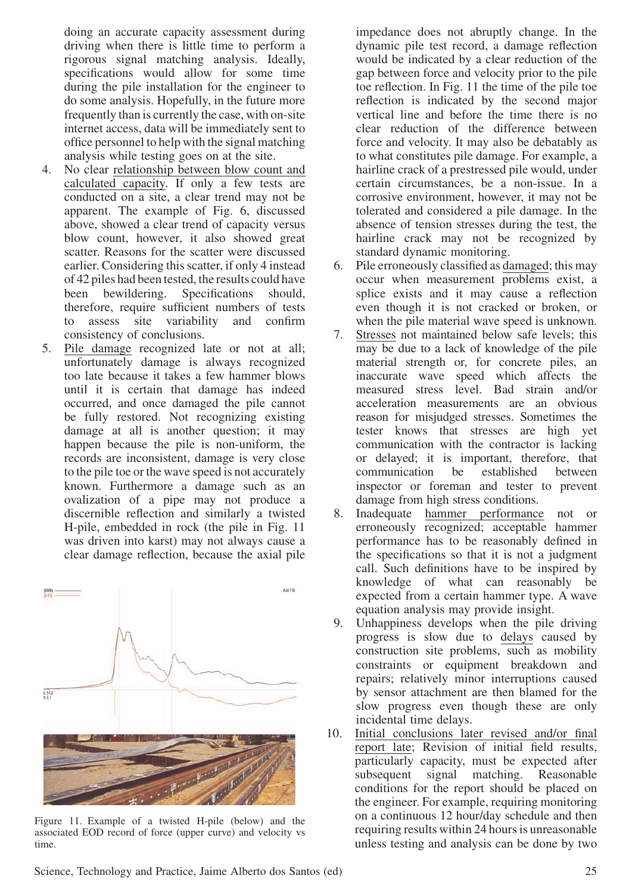doing an accurate capacity assessment during driving when there is little time to perform a rigorous signal matching analysis. Ideally, specifications would allow for some time during the pile installation for the engineer to do some analysis. Hopefully, in the future more frequently than is currently the case, with on-site internet access, data will be immediately sent to office personnel to help with the signal matching analysis while testing goes on at the site.

- 4. No clear relationship between blow count and calculated capacity. If only a few tests are conducted on a site, a clear trend may not be apparent. The example of Fig. 6, discussed above, showed a clear trend of capacity versus blow count, however, it also showed great scatter. Reasons for the scatter were discussed earlier. Considering this scatter, if only 4 instead of 42 piles had been tested, the results could have been bewildering. Specifications should, therefore, require sufficient numbers of tests to assess site variability and confirm consistency of conclusions.
- 5. Pile damage recognized late or not at all; unfortunately damage is always recognized too late because it takes a few hammer blows until it is certain that damage has indeed occurred, and once damaged the pile cannot be fully restored. Not recognizing existing damage at all is another question; it may happen because the pile is non-uniform, the records are inconsistent, damage is very close to the pile toe or the wave speed is not accurately known. Furthermore a damage such as an ovalization of a pipe may not produce a discernible reflection and similarly a twisted H-pile, embedded in rock (the pile in Fig. 11 was driven into karst) may not always cause a clear damage reflection, because the axial pile



Figure 11. Example of a twisted H-pile (below) and the associated EOD record of force (upper curve) and velocity vs time.

impedance does not abruptly change. In the dynamic pile test record, a damage reflection would be indicated by a clear reduction of the gap between force and velocity prior to the pile toe reflection. In Fig. 11 the time of the pile toe reflection is indicated by the second major vertical line and before the time there is no clear reduction of the difference between force and velocity. It may also be debatably as to what constitutes pile damage. For example, a hairline crack of a prestressed pile would, under certain circumstances, be a non-issue. In a corrosive environment, however, it may not be tolerated and considered a pile damage. In the absence of tension stresses during the test, the hairline crack may not be recognized by standard dynamic monitoring.

- 6. Pile erroneously classified as damaged; this may occur when measurement problems exist, a splice exists and it may cause a reflection even though it is not cracked or broken, or when the pile material wave speed is unknown.
- 7. Stresses not maintained below safe levels; this may be due to a lack of knowledge of the pile material strength or, for concrete piles, an inaccurate wave speed which affects the measured stress level. Bad strain and/or acceleration measurements are an obvious reason for misjudged stresses. Sometimes the tester knows that stresses are high yet communication with the contractor is lacking or delayed; it is important, therefore, that communication be established between inspector or foreman and tester to prevent damage from high stress conditions.
- 8. Inadequate hammer performance not or erroneously recognized; acceptable hammer performance has to be reasonably defined in the specifications so that it is not a judgment call. Such definitions have to be inspired by knowledge of what can reasonably be expected from a certain hammer type. A wave equation analysis may provide insight.
- 9. Unhappiness develops when the pile driving progress is slow due to delays caused by construction site problems, such as mobility constraints or equipment breakdown and repairs; relatively minor interruptions caused by sensor attachment are then blamed for the slow progress even though these are only incidental time delays.
- 10. Initial conclusions later revised and/or final report late; Revision of initial field results, particularly capacity, must be expected after subsequent signal matching. Reasonable conditions for the report should be placed on the engineer. For example, requiring monitoring on a continuous 12 hour/day schedule and then requiring results within 24 hours is unreasonable unless testing and analysis can be done by two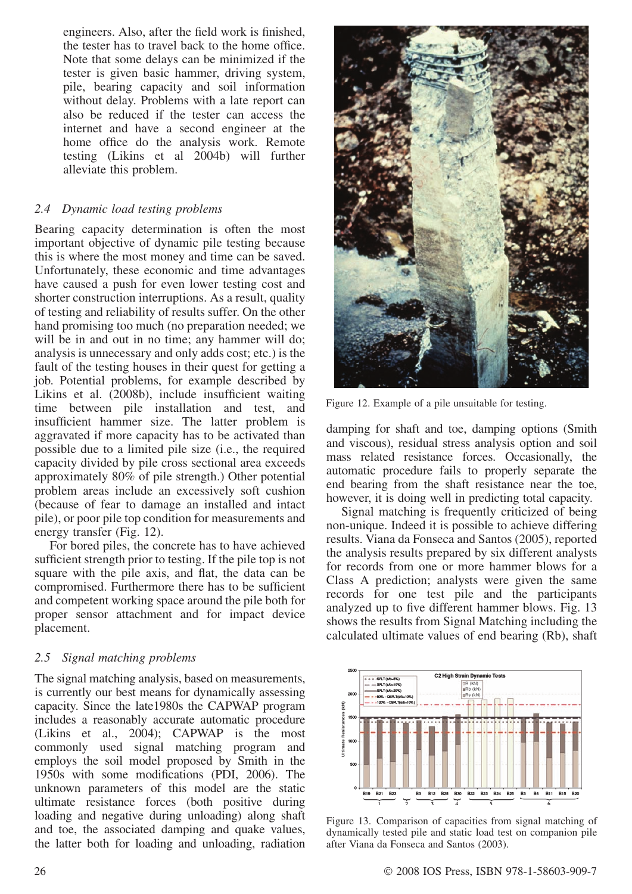engineers. Also, after the field work is finished, the tester has to travel back to the home office. Note that some delays can be minimized if the tester is given basic hammer, driving system, pile, bearing capacity and soil information without delay. Problems with a late report can also be reduced if the tester can access the internet and have a second engineer at the home office do the analysis work. Remote testing (Likins et al 2004b) will further alleviate this problem.

## 2.4 Dynamic load testing problems

Bearing capacity determination is often the most important objective of dynamic pile testing because this is where the most money and time can be saved. Unfortunately, these economic and time advantages have caused a push for even lower testing cost and shorter construction interruptions. As a result, quality of testing and reliability of results suffer. On the other hand promising too much (no preparation needed; we will be in and out in no time; any hammer will do; analysis is unnecessary and only adds cost; etc.) is the fault of the testing houses in their quest for getting a job. Potential problems, for example described by Likins et al. (2008b), include insufficient waiting time between pile installation and test, and insufficient hammer size. The latter problem is aggravated if more capacity has to be activated than possible due to a limited pile size (i.e., the required capacity divided by pile cross sectional area exceeds approximately 80% of pile strength.) Other potential problem areas include an excessively soft cushion (because of fear to damage an installed and intact pile), or poor pile top condition for measurements and energy transfer (Fig. 12).

For bored piles, the concrete has to have achieved sufficient strength prior to testing. If the pile top is not square with the pile axis, and flat, the data can be compromised. Furthermore there has to be sufficient and competent working space around the pile both for proper sensor attachment and for impact device placement.

# 2.5 Signal matching problems

The signal matching analysis, based on measurements, is currently our best means for dynamically assessing capacity. Since the late1980s the CAPWAP program includes a reasonably accurate automatic procedure (Likins et al., 2004); CAPWAP is the most commonly used signal matching program and employs the soil model proposed by Smith in the 1950s with some modifications (PDI, 2006). The unknown parameters of this model are the static ultimate resistance forces (both positive during loading and negative during unloading) along shaft and toe, the associated damping and quake values, the latter both for loading and unloading, radiation



Figure 12. Example of a pile unsuitable for testing.

damping for shaft and toe, damping options (Smith and viscous), residual stress analysis option and soil mass related resistance forces. Occasionally, the automatic procedure fails to properly separate the end bearing from the shaft resistance near the toe, however, it is doing well in predicting total capacity.

Signal matching is frequently criticized of being non-unique. Indeed it is possible to achieve differing results. Viana da Fonseca and Santos (2005), reported the analysis results prepared by six different analysts for records from one or more hammer blows for a Class A prediction; analysts were given the same records for one test pile and the participants analyzed up to five different hammer blows. Fig. 13 shows the results from Signal Matching including the calculated ultimate values of end bearing (Rb), shaft



Figure 13. Comparison of capacities from signal matching of dynamically tested pile and static load test on companion pile after Viana da Fonseca and Santos (2003).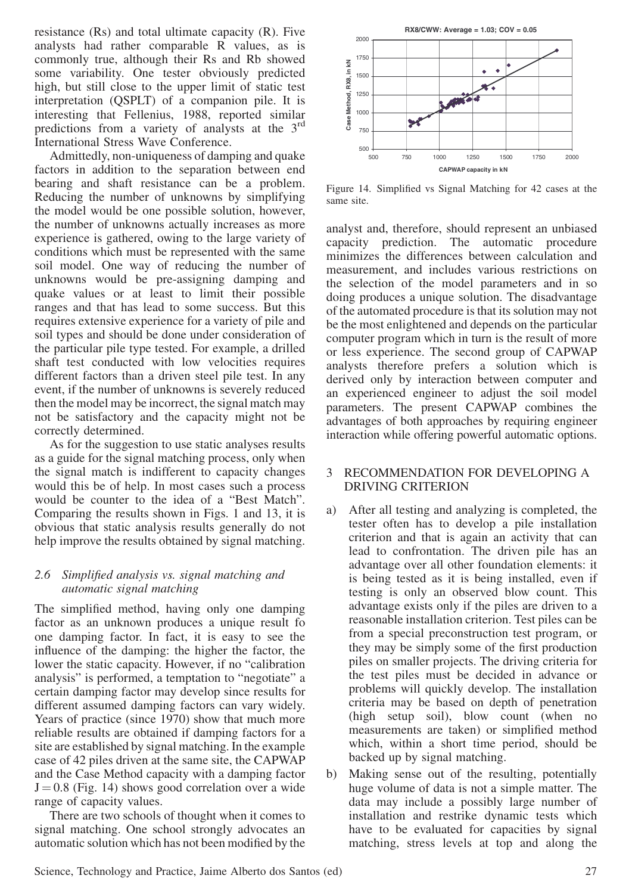resistance (Rs) and total ultimate capacity (R). Five analysts had rather comparable R values, as is commonly true, although their Rs and Rb showed some variability. One tester obviously predicted high, but still close to the upper limit of static test interpretation (QSPLT) of a companion pile. It is interesting that Fellenius, 1988, reported similar predictions from a variety of analysts at the  $3<sup>rd</sup>$ International Stress Wave Conference.

Admittedly, non-uniqueness of damping and quake factors in addition to the separation between end bearing and shaft resistance can be a problem. Reducing the number of unknowns by simplifying the model would be one possible solution, however, the number of unknowns actually increases as more experience is gathered, owing to the large variety of conditions which must be represented with the same soil model. One way of reducing the number of unknowns would be pre-assigning damping and quake values or at least to limit their possible ranges and that has lead to some success. But this requires extensive experience for a variety of pile and soil types and should be done under consideration of the particular pile type tested. For example, a drilled shaft test conducted with low velocities requires different factors than a driven steel pile test. In any event, if the number of unknowns is severely reduced then the model may be incorrect, the signal match may not be satisfactory and the capacity might not be correctly determined.

As for the suggestion to use static analyses results as a guide for the signal matching process, only when the signal match is indifferent to capacity changes would this be of help. In most cases such a process would be counter to the idea of a "Best Match". Comparing the results shown in Figs. 1 and 13, it is obvious that static analysis results generally do not help improve the results obtained by signal matching.

## 2.6 Simplified analysis vs. signal matching and automatic signal matching

The simplified method, having only one damping factor as an unknown produces a unique result fo one damping factor. In fact, it is easy to see the influence of the damping: the higher the factor, the lower the static capacity. However, if no "calibration analysis" is performed, a temptation to "negotiate" a certain damping factor may develop since results for different assumed damping factors can vary widely. Years of practice (since 1970) show that much more reliable results are obtained if damping factors for a site are established by signal matching. In the example case of 42 piles driven at the same site, the CAPWAP and the Case Method capacity with a damping factor  $J = 0.8$  (Fig. 14) shows good correlation over a wide range of capacity values.

There are two schools of thought when it comes to signal matching. One school strongly advocates an automatic solution which has not been modified by the



Figure 14. Simplified vs Signal Matching for 42 cases at the same site.

analyst and, therefore, should represent an unbiased capacity prediction. The automatic procedure minimizes the differences between calculation and measurement, and includes various restrictions on the selection of the model parameters and in so doing produces a unique solution. The disadvantage of the automated procedure is that its solution may not be the most enlightened and depends on the particular computer program which in turn is the result of more or less experience. The second group of CAPWAP analysts therefore prefers a solution which is derived only by interaction between computer and an experienced engineer to adjust the soil model parameters. The present CAPWAP combines the advantages of both approaches by requiring engineer interaction while offering powerful automatic options.

### 3 RECOMMENDATION FOR DEVELOPING A DRIVING CRITERION

- a) After all testing and analyzing is completed, the tester often has to develop a pile installation criterion and that is again an activity that can lead to confrontation. The driven pile has an advantage over all other foundation elements: it is being tested as it is being installed, even if testing is only an observed blow count. This advantage exists only if the piles are driven to a reasonable installation criterion. Test piles can be from a special preconstruction test program, or they may be simply some of the first production piles on smaller projects. The driving criteria for the test piles must be decided in advance or problems will quickly develop. The installation criteria may be based on depth of penetration (high setup soil), blow count (when no measurements are taken) or simplified method which, within a short time period, should be backed up by signal matching.
- b) Making sense out of the resulting, potentially huge volume of data is not a simple matter. The data may include a possibly large number of installation and restrike dynamic tests which have to be evaluated for capacities by signal matching, stress levels at top and along the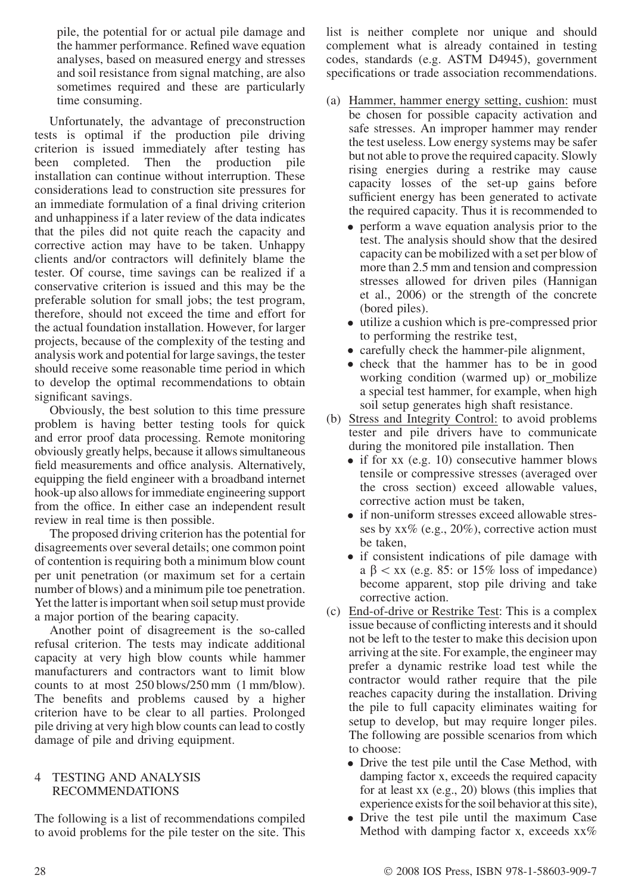pile, the potential for or actual pile damage and the hammer performance. Refined wave equation analyses, based on measured energy and stresses and soil resistance from signal matching, are also sometimes required and these are particularly time consuming.

Unfortunately, the advantage of preconstruction tests is optimal if the production pile driving criterion is issued immediately after testing has been completed. Then the production pile installation can continue without interruption. These considerations lead to construction site pressures for an immediate formulation of a final driving criterion and unhappiness if a later review of the data indicates that the piles did not quite reach the capacity and corrective action may have to be taken. Unhappy clients and/or contractors will definitely blame the tester. Of course, time savings can be realized if a conservative criterion is issued and this may be the preferable solution for small jobs; the test program, therefore, should not exceed the time and effort for the actual foundation installation. However, for larger projects, because of the complexity of the testing and analysis work and potential for large savings, the tester should receive some reasonable time period in which to develop the optimal recommendations to obtain significant savings.

Obviously, the best solution to this time pressure problem is having better testing tools for quick and error proof data processing. Remote monitoring obviously greatly helps, because it allows simultaneous field measurements and office analysis. Alternatively, equipping the field engineer with a broadband internet hook-up also allows for immediate engineering support from the office. In either case an independent result review in real time is then possible.

The proposed driving criterion has the potential for disagreements over several details; one common point of contention is requiring both a minimum blow count per unit penetration (or maximum set for a certain number of blows) and a minimum pile toe penetration. Yet the latter is important when soil setup must provide a major portion of the bearing capacity.

Another point of disagreement is the so-called refusal criterion. The tests may indicate additional capacity at very high blow counts while hammer manufacturers and contractors want to limit blow counts to at most 250 blows/250 mm (1 mm/blow). The benefits and problems caused by a higher criterion have to be clear to all parties. Prolonged pile driving at very high blow counts can lead to costly damage of pile and driving equipment.

#### TESTING AND ANALYSIS RECOMMENDATIONS

The following is a list of recommendations compiled to avoid problems for the pile tester on the site. This

list is neither complete nor unique and should complement what is already contained in testing codes, standards (e.g. ASTM D4945), government specifications or trade association recommendations.

- (a) Hammer, hammer energy setting, cushion: must be chosen for possible capacity activation and safe stresses. An improper hammer may render the test useless. Low energy systems may be safer but not able to prove the required capacity. Slowly rising energies during a restrike may cause capacity losses of the set-up gains before sufficient energy has been generated to activate the required capacity. Thus it is recommended to
	- perform a wave equation analysis prior to the test. The analysis should show that the desired capacity can be mobilized with a set per blow of more than 2.5 mm and tension and compression stresses allowed for driven piles (Hannigan et al., 2006) or the strength of the concrete (bored piles).
	- utilize a cushion which is pre-compressed prior to performing the restrike test,
	- carefully check the hammer-pile alignment,
	- check that the hammer has to be in good working condition (warmed up) or mobilize a special test hammer, for example, when high soil setup generates high shaft resistance.
- (b) Stress and Integrity Control: to avoid problems tester and pile drivers have to communicate during the monitored pile installation. Then
	- if for xx (e.g. 10) consecutive hammer blows tensile or compressive stresses (averaged over the cross section) exceed allowable values, corrective action must be taken,
	- if non-uniform stresses exceed allowable stresses by  $xx\%$  (e.g., 20%), corrective action must be taken,
	- if consistent indications of pile damage with a  $\beta$   $\lt$  xx (e.g. 85: or 15% loss of impedance) become apparent, stop pile driving and take corrective action.
- (c) End-of-drive or Restrike Test: This is a complex issue because of conflicting interests and it should not be left to the tester to make this decision upon arriving at the site. For example, the engineer may prefer a dynamic restrike load test while the contractor would rather require that the pile reaches capacity during the installation. Driving the pile to full capacity eliminates waiting for setup to develop, but may require longer piles. The following are possible scenarios from which to choose:
	- Drive the test pile until the Case Method, with damping factor x, exceeds the required capacity for at least xx (e.g., 20) blows (this implies that experience exists for the soil behavior at this site),
	- Drive the test pile until the maximum Case Method with damping factor x, exceeds  $xx\%$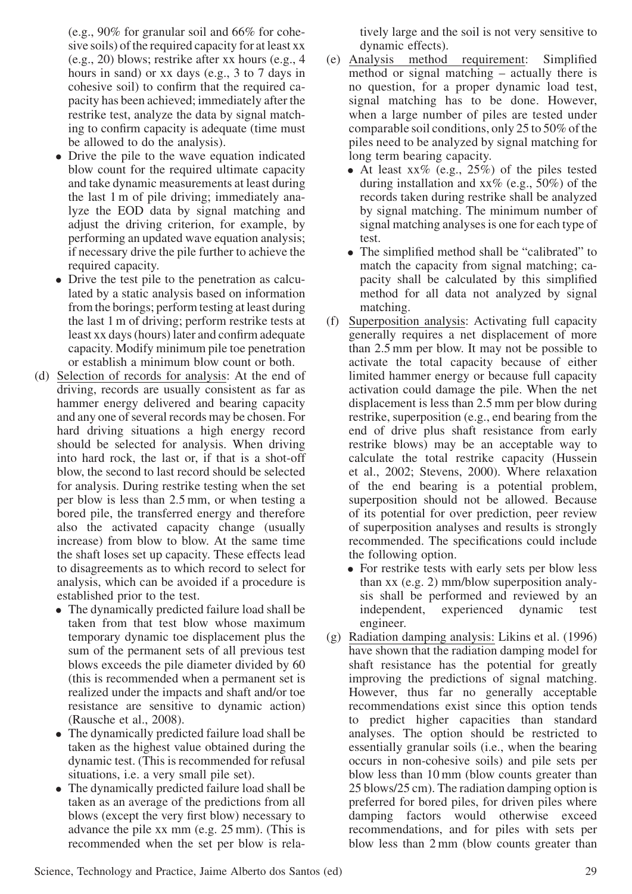(e.g., 90% for granular soil and 66% for cohesive soils) of the required capacity for at least xx (e.g., 20) blows; restrike after xx hours (e.g., 4 hours in sand) or xx days (e.g., 3 to 7 days in cohesive soil) to confirm that the required capacity has been achieved; immediately after the restrike test, analyze the data by signal matching to confirm capacity is adequate (time must be allowed to do the analysis).

- Drive the pile to the wave equation indicated blow count for the required ultimate capacity and take dynamic measurements at least during the last 1 m of pile driving; immediately analyze the EOD data by signal matching and adjust the driving criterion, for example, by performing an updated wave equation analysis; if necessary drive the pile further to achieve the required capacity.
- Drive the test pile to the penetration as calculated by a static analysis based on information from the borings; perform testing at least during the last 1 m of driving; perform restrike tests at least xx days (hours) later and confirm adequate capacity. Modify minimum pile toe penetration or establish a minimum blow count or both.
- (d) Selection of records for analysis: At the end of driving, records are usually consistent as far as hammer energy delivered and bearing capacity and any one of several records may be chosen. For hard driving situations a high energy record should be selected for analysis. When driving into hard rock, the last or, if that is a shot-off blow, the second to last record should be selected for analysis. During restrike testing when the set per blow is less than 2.5 mm, or when testing a bored pile, the transferred energy and therefore also the activated capacity change (usually increase) from blow to blow. At the same time the shaft loses set up capacity. These effects lead to disagreements as to which record to select for analysis, which can be avoided if a procedure is established prior to the test.
	- The dynamically predicted failure load shall be taken from that test blow whose maximum temporary dynamic toe displacement plus the sum of the permanent sets of all previous test blows exceeds the pile diameter divided by 60 (this is recommended when a permanent set is realized under the impacts and shaft and/or toe resistance are sensitive to dynamic action) (Rausche et al., 2008).
	- The dynamically predicted failure load shall be taken as the highest value obtained during the dynamic test. (This is recommended for refusal situations, i.e. a very small pile set).
	- The dynamically predicted failure load shall be taken as an average of the predictions from all blows (except the very first blow) necessary to advance the pile xx mm (e.g. 25 mm). (This is recommended when the set per blow is rela-

tively large and the soil is not very sensitive to dynamic effects).

- (e) Analysis method requirement: Simplified method or signal matching – actually there is no question, for a proper dynamic load test, signal matching has to be done. However, when a large number of piles are tested under comparable soil conditions, only 25 to 50% of the piles need to be analyzed by signal matching for long term bearing capacity.
	- At least  $xx\%$  (e.g., 25%) of the piles tested during installation and  $xx\%$  (e.g., 50%) of the records taken during restrike shall be analyzed by signal matching. The minimum number of signal matching analyses is one for each type of test.
	- The simplified method shall be "calibrated" to match the capacity from signal matching; capacity shall be calculated by this simplified method for all data not analyzed by signal matching.
- (f) Superposition analysis: Activating full capacity generally requires a net displacement of more than 2.5 mm per blow. It may not be possible to activate the total capacity because of either limited hammer energy or because full capacity activation could damage the pile. When the net displacement is less than 2.5 mm per blow during restrike, superposition (e.g., end bearing from the end of drive plus shaft resistance from early restrike blows) may be an acceptable way to calculate the total restrike capacity (Hussein et al., 2002; Stevens, 2000). Where relaxation of the end bearing is a potential problem, superposition should not be allowed. Because of its potential for over prediction, peer review of superposition analyses and results is strongly recommended. The specifications could include the following option.
	- For restrike tests with early sets per blow less than xx (e.g. 2) mm/blow superposition analysis shall be performed and reviewed by an independent, experienced dynamic test engineer.
- (g) Radiation damping analysis: Likins et al. (1996) have shown that the radiation damping model for shaft resistance has the potential for greatly improving the predictions of signal matching. However, thus far no generally acceptable recommendations exist since this option tends to predict higher capacities than standard analyses. The option should be restricted to essentially granular soils (i.e., when the bearing occurs in non-cohesive soils) and pile sets per blow less than 10 mm (blow counts greater than 25 blows/25 cm). The radiation damping option is preferred for bored piles, for driven piles where damping factors would otherwise exceed recommendations, and for piles with sets per blow less than 2 mm (blow counts greater than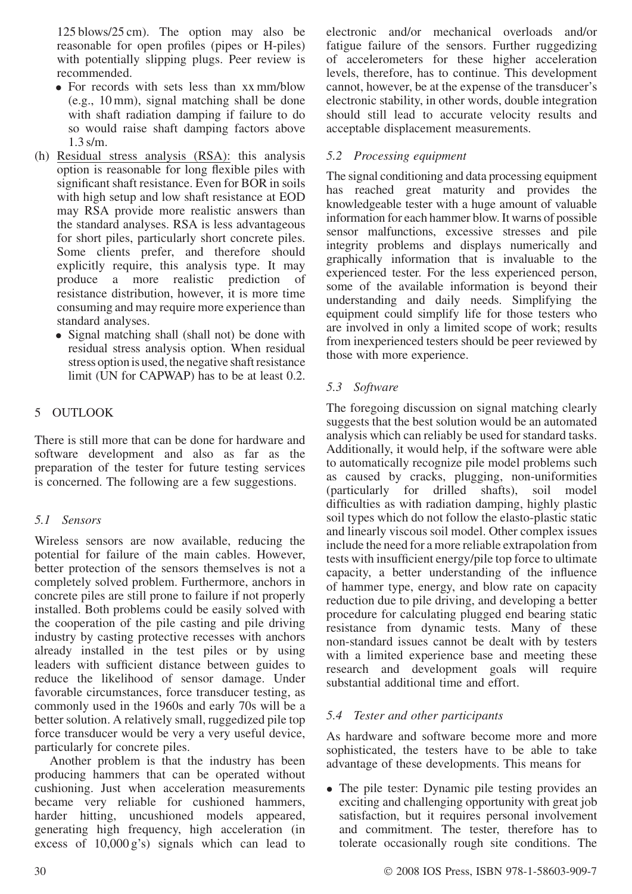125 blows/25 cm). The option may also be reasonable for open profiles (pipes or H-piles) with potentially slipping plugs. Peer review is recommended.

- For records with sets less than xx mm/blow (e.g., 10 mm), signal matching shall be done with shaft radiation damping if failure to do so would raise shaft damping factors above 1.3 s/m.
- (h) Residual stress analysis (RSA): this analysis option is reasonable for long flexible piles with significant shaft resistance. Even for BOR in soils with high setup and low shaft resistance at EOD may RSA provide more realistic answers than the standard analyses. RSA is less advantageous for short piles, particularly short concrete piles. Some clients prefer, and therefore should explicitly require, this analysis type. It may produce a more realistic prediction of resistance distribution, however, it is more time consuming and may require more experience than standard analyses.
	- Signal matching shall (shall not) be done with residual stress analysis option. When residual stress option is used, the negative shaft resistance limit (UN for CAPWAP) has to be at least 0.2.

# 5 OUTLOOK

There is still more that can be done for hardware and software development and also as far as the preparation of the tester for future testing services is concerned. The following are a few suggestions.

# 5.1 Sensors

Wireless sensors are now available, reducing the potential for failure of the main cables. However, better protection of the sensors themselves is not a completely solved problem. Furthermore, anchors in concrete piles are still prone to failure if not properly installed. Both problems could be easily solved with the cooperation of the pile casting and pile driving industry by casting protective recesses with anchors already installed in the test piles or by using leaders with sufficient distance between guides to reduce the likelihood of sensor damage. Under favorable circumstances, force transducer testing, as commonly used in the 1960s and early 70s will be a better solution. A relatively small, ruggedized pile top force transducer would be very a very useful device, particularly for concrete piles.

Another problem is that the industry has been producing hammers that can be operated without cushioning. Just when acceleration measurements became very reliable for cushioned hammers, harder hitting, uncushioned models appeared, generating high frequency, high acceleration (in excess of 10,000 g's) signals which can lead to

electronic and/or mechanical overloads and/or fatigue failure of the sensors. Further ruggedizing of accelerometers for these higher acceleration levels, therefore, has to continue. This development cannot, however, be at the expense of the transducer's electronic stability, in other words, double integration should still lead to accurate velocity results and acceptable displacement measurements.

# 5.2 Processing equipment

The signal conditioning and data processing equipment has reached great maturity and provides the knowledgeable tester with a huge amount of valuable information for each hammer blow. It warns of possible sensor malfunctions, excessive stresses and pile integrity problems and displays numerically and graphically information that is invaluable to the experienced tester. For the less experienced person, some of the available information is beyond their understanding and daily needs. Simplifying the equipment could simplify life for those testers who are involved in only a limited scope of work; results from inexperienced testers should be peer reviewed by those with more experience.

# 5.3 Software

The foregoing discussion on signal matching clearly suggests that the best solution would be an automated analysis which can reliably be used for standard tasks. Additionally, it would help, if the software were able to automatically recognize pile model problems such as caused by cracks, plugging, non-uniformities (particularly for drilled shafts), soil model difficulties as with radiation damping, highly plastic soil types which do not follow the elasto-plastic static and linearly viscous soil model. Other complex issues include the need for a more reliable extrapolation from tests with insufficient energy/pile top force to ultimate capacity, a better understanding of the influence of hammer type, energy, and blow rate on capacity reduction due to pile driving, and developing a better procedure for calculating plugged end bearing static resistance from dynamic tests. Many of these non-standard issues cannot be dealt with by testers with a limited experience base and meeting these research and development goals will require substantial additional time and effort.

## 5.4 Tester and other participants

As hardware and software become more and more sophisticated, the testers have to be able to take advantage of these developments. This means for

• The pile tester: Dynamic pile testing provides an exciting and challenging opportunity with great job satisfaction, but it requires personal involvement and commitment. The tester, therefore has to tolerate occasionally rough site conditions. The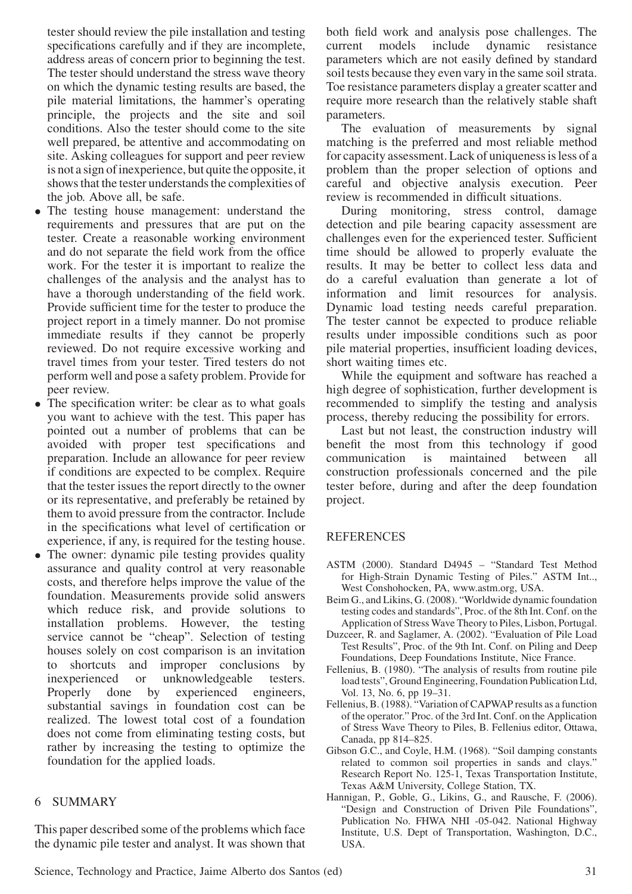tester should review the pile installation and testing specifications carefully and if they are incomplete, address areas of concern prior to beginning the test. The tester should understand the stress wave theory on which the dynamic testing results are based, the pile material limitations, the hammer's operating principle, the projects and the site and soil conditions. Also the tester should come to the site well prepared, be attentive and accommodating on site. Asking colleagues for support and peer review is not a sign of inexperience, but quite the opposite, it shows that the tester understands the complexities of the job. Above all, be safe.

- The testing house management: understand the requirements and pressures that are put on the tester. Create a reasonable working environment and do not separate the field work from the office work. For the tester it is important to realize the challenges of the analysis and the analyst has to have a thorough understanding of the field work. Provide sufficient time for the tester to produce the project report in a timely manner. Do not promise immediate results if they cannot be properly reviewed. Do not require excessive working and travel times from your tester. Tired testers do not perform well and pose a safety problem. Provide for peer review.
- The specification writer: be clear as to what goals you want to achieve with the test. This paper has pointed out a number of problems that can be avoided with proper test specifications and preparation. Include an allowance for peer review if conditions are expected to be complex. Require that the tester issues the report directly to the owner or its representative, and preferably be retained by them to avoid pressure from the contractor. Include in the specifications what level of certification or experience, if any, is required for the testing house.
- The owner: dynamic pile testing provides quality assurance and quality control at very reasonable costs, and therefore helps improve the value of the foundation. Measurements provide solid answers which reduce risk, and provide solutions to installation problems. However, the testing service cannot be "cheap". Selection of testing houses solely on cost comparison is an invitation to shortcuts and improper conclusions by inexperienced or unknowledgeable testers. Properly done by experienced engineers, substantial savings in foundation cost can be realized. The lowest total cost of a foundation does not come from eliminating testing costs, but rather by increasing the testing to optimize the foundation for the applied loads.

# 6 SUMMARY

This paper described some of the problems which face the dynamic pile tester and analyst. It was shown that both field work and analysis pose challenges. The current models include dynamic resistance parameters which are not easily defined by standard soil tests because they even vary in the same soil strata. Toe resistance parameters display a greater scatter and require more research than the relatively stable shaft parameters.

The evaluation of measurements by signal matching is the preferred and most reliable method for capacity assessment. Lack of uniqueness is less of a problem than the proper selection of options and careful and objective analysis execution. Peer review is recommended in difficult situations.

During monitoring, stress control, damage detection and pile bearing capacity assessment are challenges even for the experienced tester. Sufficient time should be allowed to properly evaluate the results. It may be better to collect less data and do a careful evaluation than generate a lot of information and limit resources for analysis. Dynamic load testing needs careful preparation. The tester cannot be expected to produce reliable results under impossible conditions such as poor pile material properties, insufficient loading devices, short waiting times etc.

While the equipment and software has reached a high degree of sophistication, further development is recommended to simplify the testing and analysis process, thereby reducing the possibility for errors.

Last but not least, the construction industry will benefit the most from this technology if good communication is maintained between all construction professionals concerned and the pile tester before, during and after the deep foundation project.

## **REFERENCES**

- ASTM (2000). Standard D4945 "Standard Test Method for High-Strain Dynamic Testing of Piles." ASTM Int.., West Conshohocken, PA, www.astm.org, USA.
- Beim G., and Likins, G. (2008). "Worldwide dynamic foundation testing codes and standards", Proc. of the 8th Int. Conf. on the Application of Stress Wave Theory to Piles, Lisbon, Portugal.
- Duzceer, R. and Saglamer, A. (2002). "Evaluation of Pile Load Test Results", Proc. of the 9th Int. Conf. on Piling and Deep Foundations, Deep Foundations Institute, Nice France.
- Fellenius, B. (1980). "The analysis of results from routine pile load tests", Ground Engineering, Foundation Publication Ltd, Vol. 13, No. 6, pp 19–31.
- Fellenius, B. (1988). "Variation of CAPWAP results as a function of the operator." Proc. of the 3rd Int. Conf. on the Application of Stress Wave Theory to Piles, B. Fellenius editor, Ottawa, Canada, pp 814–825.
- Gibson G.C., and Coyle, H.M. (1968). "Soil damping constants related to common soil properties in sands and clays." Research Report No. 125-1, Texas Transportation Institute, Texas A&M University, College Station, TX.
- Hannigan, P., Goble, G., Likins, G., and Rausche, F. (2006). "Design and Construction of Driven Pile Foundations", Publication No. FHWA NHI -05-042. National Highway Institute, U.S. Dept of Transportation, Washington, D.C., USA.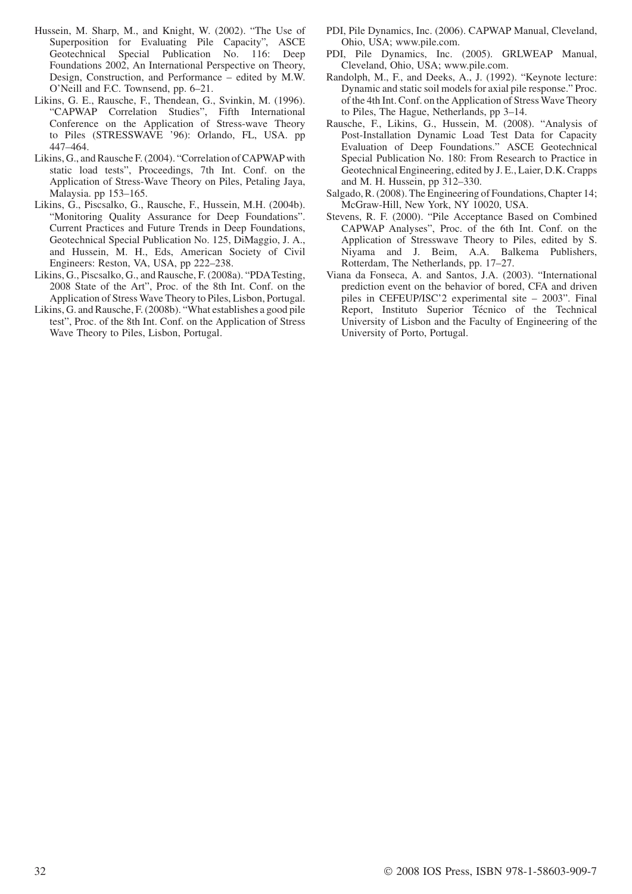- Hussein, M. Sharp, M., and Knight, W. (2002). "The Use of Superposition for Evaluating Pile Capacity", ASCE Geotechnical Special Publication No. 116: Deep Foundations 2002, An International Perspective on Theory, Design, Construction, and Performance – edited by M.W. O'Neill and F.C. Townsend, pp. 6–21.
- Likins, G. E., Rausche, F., Thendean, G., Svinkin, M. (1996). "CAPWAP Correlation Studies", Fifth International Conference on the Application of Stress-wave Theory to Piles (STRESSWAVE '96): Orlando, FL, USA. pp 447–464.
- Likins, G., and Rausche F. (2004). "Correlation of CAPWAP with static load tests", Proceedings, 7th Int. Conf. on the Application of Stress-Wave Theory on Piles, Petaling Jaya, Malaysia. pp 153–165.
- Likins, G., Piscsalko, G., Rausche, F., Hussein, M.H. (2004b). "Monitoring Quality Assurance for Deep Foundations". Current Practices and Future Trends in Deep Foundations, Geotechnical Special Publication No. 125, DiMaggio, J. A., and Hussein, M. H., Eds, American Society of Civil Engineers: Reston, VA, USA, pp 222–238.
- Likins, G., Piscsalko, G., and Rausche, F. (2008a). "PDATesting, 2008 State of the Art", Proc. of the 8th Int. Conf. on the Application of Stress Wave Theory to Piles, Lisbon, Portugal.
- Likins, G. and Rausche, F. (2008b). "What establishes a good pile test", Proc. of the 8th Int. Conf. on the Application of Stress Wave Theory to Piles, Lisbon, Portugal.
- PDI, Pile Dynamics, Inc. (2006). CAPWAP Manual, Cleveland, Ohio, USA; www.pile.com.
- PDI, Pile Dynamics, Inc. (2005). GRLWEAP Manual, Cleveland, Ohio, USA; www.pile.com.
- Randolph, M., F., and Deeks, A., J. (1992). "Keynote lecture: Dynamic and static soil models for axial pile response." Proc. of the 4th Int. Conf. on the Application of Stress Wave Theory to Piles, The Hague, Netherlands, pp 3–14.
- Rausche, F., Likins, G., Hussein, M. (2008). "Analysis of Post-Installation Dynamic Load Test Data for Capacity Evaluation of Deep Foundations." ASCE Geotechnical Special Publication No. 180: From Research to Practice in Geotechnical Engineering, edited by J. E., Laier, D.K. Crapps and M. H. Hussein, pp 312–330.
- Salgado, R. (2008). The Engineering of Foundations, Chapter 14; McGraw-Hill, New York, NY 10020, USA.
- Stevens, R. F. (2000). "Pile Acceptance Based on Combined CAPWAP Analyses", Proc. of the 6th Int. Conf. on the Application of Stresswave Theory to Piles, edited by S. Niyama and J. Beim, A.A. Balkema Publishers, Rotterdam, The Netherlands, pp. 17–27.
- Viana da Fonseca, A. and Santos, J.A. (2003). "International prediction event on the behavior of bored, CFA and driven piles in CEFEUP/ISC'2 experimental site – 2003". Final Report, Instituto Superior Técnico of the Technical University of Lisbon and the Faculty of Engineering of the University of Porto, Portugal.